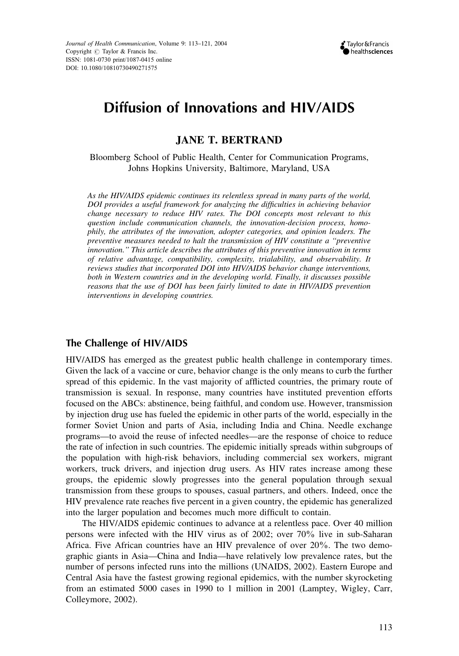# Diffusion of Innovations and HIV/AIDS

# JANE T. BERTRAND

Bloomberg School of Public Health, Center for Communication Programs, Johns Hopkins University, Baltimore, Maryland, USA

As the HIV/AIDS epidemic continues its relentless spread in many parts of the world, DOI provides a useful framework for analyzing the difficulties in achieving behavior change necessary to reduce HIV rates. The DOI concepts most relevant to this question include communication channels, the innovation-decision process, homophily, the attributes of the innovation, adopter categories, and opinion leaders. The preventive measures needed to halt the transmission of HIV constitute a ''preventive innovation.'' This article describes the attributes of this preventive innovation in terms of relative advantage, compatibility, complexity, trialability, and observability. It reviews studies that incorporated DOI into HIV/AIDS behavior change interventions, both in Western countries and in the developing world. Finally, it discusses possible reasons that the use of DOI has been fairly limited to date in HIV/AIDS prevention interventions in developing countries.

# The Challenge of HIV/AIDS

HIV/AIDS has emerged as the greatest public health challenge in contemporary times. Given the lack of a vaccine or cure, behavior change is the only means to curb the further spread of this epidemic. In the vast majority of afflicted countries, the primary route of transmission is sexual. In response, many countries have instituted prevention efforts focused on the ABCs: abstinence, being faithful, and condom use. However, transmission by injection drug use has fueled the epidemic in other parts of the world, especially in the former Soviet Union and parts of Asia, including India and China. Needle exchange programs—to avoid the reuse of infected needles—are the response of choice to reduce the rate of infection in such countries. The epidemic initially spreads within subgroups of the population with high-risk behaviors, including commercial sex workers, migrant workers, truck drivers, and injection drug users. As HIV rates increase among these groups, the epidemic slowly progresses into the general population through sexual transmission from these groups to spouses, casual partners, and others. Indeed, once the HIV prevalence rate reaches five percent in a given country, the epidemic has generalized into the larger population and becomes much more difficult to contain.

The HIV/AIDS epidemic continues to advance at a relentless pace. Over 40 million persons were infected with the HIV virus as of 2002; over 70% live in sub-Saharan Africa. Five African countries have an HIV prevalence of over 20%. The two demographic giants in Asia—China and India—have relatively low prevalence rates, but the number of persons infected runs into the millions (UNAIDS, 2002). Eastern Europe and Central Asia have the fastest growing regional epidemics, with the number skyrocketing from an estimated 5000 cases in 1990 to 1 million in 2001 (Lamptey, Wigley, Carr, Colleymore, 2002).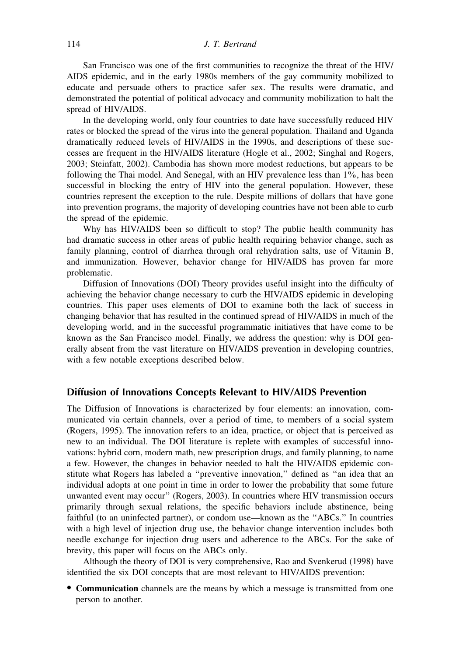San Francisco was one of the first communities to recognize the threat of the HIV/ AIDS epidemic, and in the early 1980s members of the gay community mobilized to educate and persuade others to practice safer sex. The results were dramatic, and demonstrated the potential of political advocacy and community mobilization to halt the spread of HIV/AIDS.

In the developing world, only four countries to date have successfully reduced HIV rates or blocked the spread of the virus into the general population. Thailand and Uganda dramatically reduced levels of HIV/AIDS in the 1990s, and descriptions of these successes are frequent in the HIV/AIDS literature (Hogle et al., 2002; Singhal and Rogers, 2003; Steinfatt, 2002). Cambodia has shown more modest reductions, but appears to be following the Thai model. And Senegal, with an HIV prevalence less than  $1\%$ , has been successful in blocking the entry of HIV into the general population. However, these countries represent the exception to the rule. Despite millions of dollars that have gone into prevention programs, the majority of developing countries have not been able to curb the spread of the epidemic.

Why has HIV/AIDS been so difficult to stop? The public health community has had dramatic success in other areas of public health requiring behavior change, such as family planning, control of diarrhea through oral rehydration salts, use of Vitamin B, and immunization. However, behavior change for HIV/AIDS has proven far more problematic.

Diffusion of Innovations (DOI) Theory provides useful insight into the difficulty of achieving the behavior change necessary to curb the HIV/AIDS epidemic in developing countries. This paper uses elements of DOI to examine both the lack of success in changing behavior that has resulted in the continued spread of HIV/AIDS in much of the developing world, and in the successful programmatic initiatives that have come to be known as the San Francisco model. Finally, we address the question: why is DOI generally absent from the vast literature on HIV/AIDS prevention in developing countries, with a few notable exceptions described below.

#### Diffusion of Innovations Concepts Relevant to HIV/AIDS Prevention

The Diffusion of Innovations is characterized by four elements: an innovation, communicated via certain channels, over a period of time, to members of a social system (Rogers, 1995). The innovation refers to an idea, practice, or object that is perceived as new to an individual. The DOI literature is replete with examples of successful innovations: hybrid corn, modern math, new prescription drugs, and family planning, to name a few. However, the changes in behavior needed to halt the HIV/AIDS epidemic constitute what Rogers has labeled a ''preventive innovation,'' defined as ''an idea that an individual adopts at one point in time in order to lower the probability that some future unwanted event may occur'' (Rogers, 2003). In countries where HIV transmission occurs primarily through sexual relations, the specific behaviors include abstinence, being faithful (to an uninfected partner), or condom use—known as the "ABCs." In countries with a high level of injection drug use, the behavior change intervention includes both needle exchange for injection drug users and adherence to the ABCs. For the sake of brevity, this paper will focus on the ABCs only.

Although the theory of DOI is very comprehensive, Rao and Svenkerud (1998) have identified the six DOI concepts that are most relevant to HIV/AIDS prevention:

\* Communication channels are the means by which a message is transmitted from one person to another.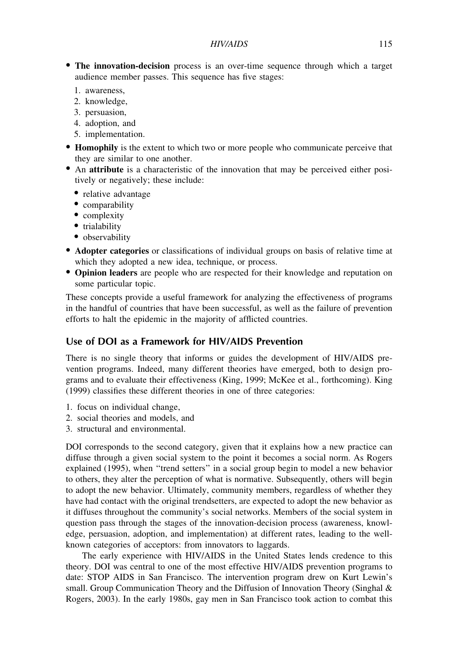#### HIV/AIDS 115

- \* The innovation-decision process is an over-time sequence through which a target audience member passes. This sequence has five stages:
	- 1. awareness,
	- 2. knowledge,
	- 3. persuasion,
	- 4. adoption, and
	- 5. implementation.
- \* Homophily is the extent to which two or more people who communicate perceive that they are similar to one another.
- \* An attribute is a characteristic of the innovation that may be perceived either positively or negatively; these include:
	- relative advantage
	- comparability
	- complexity
	- trialability
	- observability
- \* Adopter categories or classifications of individual groups on basis of relative time at which they adopted a new idea, technique, or process.
- \* Opinion leaders are people who are respected for their knowledge and reputation on some particular topic.

These concepts provide a useful framework for analyzing the effectiveness of programs in the handful of countries that have been successful, as well as the failure of prevention efforts to halt the epidemic in the majority of afflicted countries.

## Use of DOI as a Framework for HIV/AIDS Prevention

There is no single theory that informs or guides the development of HIV/AIDS prevention programs. Indeed, many different theories have emerged, both to design programs and to evaluate their effectiveness (King, 1999; McKee et al., forthcoming). King (1999) classifies these different theories in one of three categories:

- 1. focus on individual change,
- 2. social theories and models, and
- 3. structural and environmental.

DOI corresponds to the second category, given that it explains how a new practice can diffuse through a given social system to the point it becomes a social norm. As Rogers explained (1995), when ''trend setters'' in a social group begin to model a new behavior to others, they alter the perception of what is normative. Subsequently, others will begin to adopt the new behavior. Ultimately, community members, regardless of whether they have had contact with the original trendsetters, are expected to adopt the new behavior as it diffuses throughout the community's social networks. Members of the social system in question pass through the stages of the innovation-decision process (awareness, knowledge, persuasion, adoption, and implementation) at different rates, leading to the wellknown categories of acceptors: from innovators to laggards.

The early experience with HIV/AIDS in the United States lends credence to this theory. DOI was central to one of the most effective HIV/AIDS prevention programs to date: STOP AIDS in San Francisco. The intervention program drew on Kurt Lewin's small. Group Communication Theory and the Diffusion of Innovation Theory (Singhal & Rogers, 2003). In the early 1980s, gay men in San Francisco took action to combat this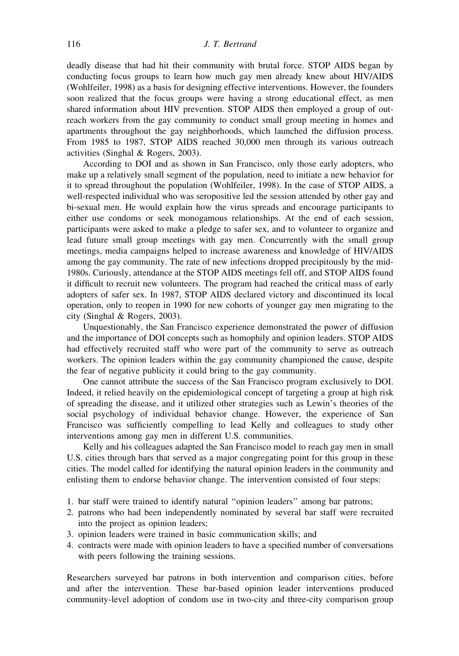deadly disease that had hit their community with brutal force. STOP AIDS began by conducting focus groups to learn how much gay men already knew about HIV/AIDS (Wohlfeiler, 1998) as a basis for designing effective interventions. However, the founders soon realized that the focus groups were having a strong educational effect, as men shared information about HIV prevention. STOP AIDS then employed a group of outreach workers from the gay community to conduct small group meeting in homes and apartments throughout the gay neighborhoods, which launched the diffusion process. From 1985 to 1987, STOP AIDS reached 30,000 men through its various outreach activities (Singhal & Rogers, 2003).

According to DOI and as shown in San Francisco, only those early adopters, who make up a relatively small segment of the population, need to initiate a new behavior for it to spread throughout the population (Wohlfeiler, 1998). In the case of STOP AIDS, a well-respected individual who was seropositive led the session attended by other gay and bi-sexual men. He would explain how the virus spreads and encourage participants to either use condoms or seek monogamous relationships. At the end of each session, participants were asked to make a pledge to safer sex, and to volunteer to organize and lead future small group meetings with gay men. Concurrently with the small group meetings, media campaigns helped to increase awareness and knowledge of HIV/AIDS among the gay community. The rate of new infections dropped precipitously by the mid-1980s. Curiously, attendance at the STOP AIDS meetings fell off, and STOP AIDS found it difficult to recruit new volunteers. The program had reached the critical mass of early adopters of safer sex. In 1987, STOP AIDS declared victory and discontinued its local operation, only to reopen in 1990 for new cohorts of younger gay men migrating to the city (Singhal & Rogers, 2003).

Unquestionably, the San Francisco experience demonstrated the power of diffusion and the importance of DOI concepts such as homophily and opinion leaders. STOP AIDS had effectively recruited staff who were part of the community to serve as outreach workers. The opinion leaders within the gay community championed the cause, despite the fear of negative publicity it could bring to the gay community.

One cannot attribute the success of the San Francisco program exclusively to DOI. Indeed, it relied heavily on the epidemiological concept of targeting a group at high risk of spreading the disease, and it utilized other strategies such as Lewin's theories of the social psychology of individual behavior change. However, the experience of San Francisco was sufficiently compelling to lead Kelly and colleagues to study other interventions among gay men in different U.S. communities.

Kelly and his colleagues adapted the San Francisco model to reach gay men in small U.S. cities through bars that served as a major congregating point for this group in these cities. The model called for identifying the natural opinion leaders in the community and enlisting them to endorse behavior change. The intervention consisted of four steps:

- 1. bar staff were trained to identify natural ''opinion leaders'' among bar patrons;
- 2. patrons who had been independently nominated by several bar staff were recruited into the project as opinion leaders;
- 3. opinion leaders were trained in basic communication skills; and
- 4. contracts were made with opinion leaders to have a specified number of conversations with peers following the training sessions.

Researchers surveyed bar patrons in both intervention and comparison cities, before and after the intervention. These bar-based opinion leader interventions produced community-level adoption of condom use in two-city and three-city comparison group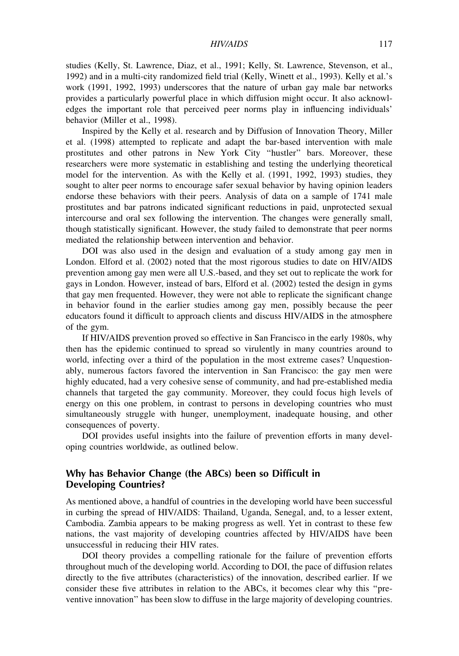#### HIV/AIDS 117

studies (Kelly, St. Lawrence, Diaz, et al., 1991; Kelly, St. Lawrence, Stevenson, et al., 1992) and in a multi-city randomized field trial (Kelly, Winett et al., 1993). Kelly et al.'s work (1991, 1992, 1993) underscores that the nature of urban gay male bar networks provides a particularly powerful place in which diffusion might occur. It also acknowledges the important role that perceived peer norms play in influencing individuals' behavior (Miller et al., 1998).

Inspired by the Kelly et al. research and by Diffusion of Innovation Theory, Miller et al. (1998) attempted to replicate and adapt the bar-based intervention with male prostitutes and other patrons in New York City ''hustler'' bars. Moreover, these researchers were more systematic in establishing and testing the underlying theoretical model for the intervention. As with the Kelly et al. (1991, 1992, 1993) studies, they sought to alter peer norms to encourage safer sexual behavior by having opinion leaders endorse these behaviors with their peers. Analysis of data on a sample of 1741 male prostitutes and bar patrons indicated significant reductions in paid, unprotected sexual intercourse and oral sex following the intervention. The changes were generally small, though statistically significant. However, the study failed to demonstrate that peer norms mediated the relationship between intervention and behavior.

DOI was also used in the design and evaluation of a study among gay men in London. Elford et al. (2002) noted that the most rigorous studies to date on HIV/AIDS prevention among gay men were all U.S.-based, and they set out to replicate the work for gays in London. However, instead of bars, Elford et al. (2002) tested the design in gyms that gay men frequented. However, they were not able to replicate the significant change in behavior found in the earlier studies among gay men, possibly because the peer educators found it difficult to approach clients and discuss HIV/AIDS in the atmosphere of the gym.

If HIV/AIDS prevention proved so effective in San Francisco in the early 1980s, why then has the epidemic continued to spread so virulently in many countries around to world, infecting over a third of the population in the most extreme cases? Unquestionably, numerous factors favored the intervention in San Francisco: the gay men were highly educated, had a very cohesive sense of community, and had pre-established media channels that targeted the gay community. Moreover, they could focus high levels of energy on this one problem, in contrast to persons in developing countries who must simultaneously struggle with hunger, unemployment, inadequate housing, and other consequences of poverty.

DOI provides useful insights into the failure of prevention efforts in many developing countries worldwide, as outlined below.

### Why has Behavior Change (the ABCs) been so Difficult in Developing Countries?

As mentioned above, a handful of countries in the developing world have been successful in curbing the spread of HIV/AIDS: Thailand, Uganda, Senegal, and, to a lesser extent, Cambodia. Zambia appears to be making progress as well. Yet in contrast to these few nations, the vast majority of developing countries affected by HIV/AIDS have been unsuccessful in reducing their HIV rates.

DOI theory provides a compelling rationale for the failure of prevention efforts throughout much of the developing world. According to DOI, the pace of diffusion relates directly to the five attributes (characteristics) of the innovation, described earlier. If we consider these five attributes in relation to the ABCs, it becomes clear why this ''preventive innovation'' has been slow to diffuse in the large majority of developing countries.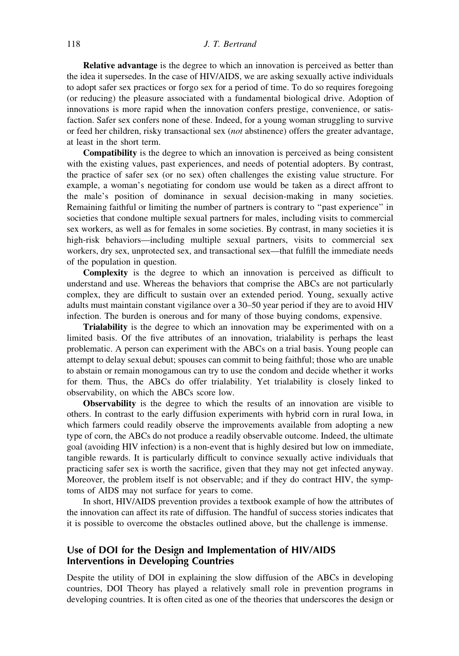Relative advantage is the degree to which an innovation is perceived as better than the idea it supersedes. In the case of HIV/AIDS, we are asking sexually active individuals to adopt safer sex practices or forgo sex for a period of time. To do so requires foregoing (or reducing) the pleasure associated with a fundamental biological drive. Adoption of innovations is more rapid when the innovation confers prestige, convenience, or satisfaction. Safer sex confers none of these. Indeed, for a young woman struggling to survive or feed her children, risky transactional sex (not abstinence) offers the greater advantage, at least in the short term.

Compatibility is the degree to which an innovation is perceived as being consistent with the existing values, past experiences, and needs of potential adopters. By contrast, the practice of safer sex (or no sex) often challenges the existing value structure. For example, a woman's negotiating for condom use would be taken as a direct affront to the male's position of dominance in sexual decision-making in many societies. Remaining faithful or limiting the number of partners is contrary to ''past experience'' in societies that condone multiple sexual partners for males, including visits to commercial sex workers, as well as for females in some societies. By contrast, in many societies it is high-risk behaviors—including multiple sexual partners, visits to commercial sex workers, dry sex, unprotected sex, and transactional sex—that fulfill the immediate needs of the population in question.

Complexity is the degree to which an innovation is perceived as difficult to understand and use. Whereas the behaviors that comprise the ABCs are not particularly complex, they are difficult to sustain over an extended period. Young, sexually active adults must maintain constant vigilance over a 30–50 year period if they are to avoid HIV infection. The burden is onerous and for many of those buying condoms, expensive.

Trialability is the degree to which an innovation may be experimented with on a limited basis. Of the five attributes of an innovation, trialability is perhaps the least problematic. A person can experiment with the ABCs on a trial basis. Young people can attempt to delay sexual debut; spouses can commit to being faithful; those who are unable to abstain or remain monogamous can try to use the condom and decide whether it works for them. Thus, the ABCs do offer trialability. Yet trialability is closely linked to observability, on which the ABCs score low.

Observability is the degree to which the results of an innovation are visible to others. In contrast to the early diffusion experiments with hybrid corn in rural Iowa, in which farmers could readily observe the improvements available from adopting a new type of corn, the ABCs do not produce a readily observable outcome. Indeed, the ultimate goal (avoiding HIV infection) is a non-event that is highly desired but low on immediate, tangible rewards. It is particularly difficult to convince sexually active individuals that practicing safer sex is worth the sacrifice, given that they may not get infected anyway. Moreover, the problem itself is not observable; and if they do contract HIV, the symptoms of AIDS may not surface for years to come.

In short, HIV/AIDS prevention provides a textbook example of how the attributes of the innovation can affect its rate of diffusion. The handful of success stories indicates that it is possible to overcome the obstacles outlined above, but the challenge is immense.

## Use of DOI for the Design and Implementation of HIV/AIDS Interventions in Developing Countries

Despite the utility of DOI in explaining the slow diffusion of the ABCs in developing countries, DOI Theory has played a relatively small role in prevention programs in developing countries. It is often cited as one of the theories that underscores the design or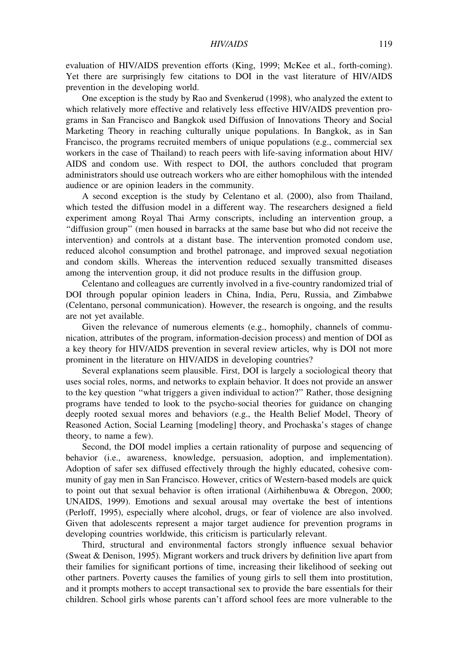evaluation of HIV/AIDS prevention efforts (King, 1999; McKee et al., forth-coming). Yet there are surprisingly few citations to DOI in the vast literature of HIV/AIDS prevention in the developing world.

One exception is the study by Rao and Svenkerud (1998), who analyzed the extent to which relatively more effective and relatively less effective HIV/AIDS prevention programs in San Francisco and Bangkok used Diffusion of Innovations Theory and Social Marketing Theory in reaching culturally unique populations. In Bangkok, as in San Francisco, the programs recruited members of unique populations (e.g., commercial sex workers in the case of Thailand) to reach peers with life-saving information about HIV/ AIDS and condom use. With respect to DOI, the authors concluded that program administrators should use outreach workers who are either homophilous with the intended audience or are opinion leaders in the community.

A second exception is the study by Celentano et al. (2000), also from Thailand, which tested the diffusion model in a different way. The researchers designed a field experiment among Royal Thai Army conscripts, including an intervention group, a ''diffusion group'' (men housed in barracks at the same base but who did not receive the intervention) and controls at a distant base. The intervention promoted condom use, reduced alcohol consumption and brothel patronage, and improved sexual negotiation and condom skills. Whereas the intervention reduced sexually transmitted diseases among the intervention group, it did not produce results in the diffusion group.

Celentano and colleagues are currently involved in a five-country randomized trial of DOI through popular opinion leaders in China, India, Peru, Russia, and Zimbabwe (Celentano, personal communication). However, the research is ongoing, and the results are not yet available.

Given the relevance of numerous elements (e.g., homophily, channels of communication, attributes of the program, information-decision process) and mention of DOI as a key theory for HIV/AIDS prevention in several review articles, why is DOI not more prominent in the literature on HIV/AIDS in developing countries?

Several explanations seem plausible. First, DOI is largely a sociological theory that uses social roles, norms, and networks to explain behavior. It does not provide an answer to the key question ''what triggers a given individual to action?'' Rather, those designing programs have tended to look to the psycho-social theories for guidance on changing deeply rooted sexual mores and behaviors (e.g., the Health Belief Model, Theory of Reasoned Action, Social Learning [modeling] theory, and Prochaska's stages of change theory, to name a few).

Second, the DOI model implies a certain rationality of purpose and sequencing of behavior (i.e., awareness, knowledge, persuasion, adoption, and implementation). Adoption of safer sex diffused effectively through the highly educated, cohesive community of gay men in San Francisco. However, critics of Western-based models are quick to point out that sexual behavior is often irrational (Airhihenbuwa & Obregon, 2000; UNAIDS, 1999). Emotions and sexual arousal may overtake the best of intentions (Perloff, 1995), especially where alcohol, drugs, or fear of violence are also involved. Given that adolescents represent a major target audience for prevention programs in developing countries worldwide, this criticism is particularly relevant.

Third, structural and environmental factors strongly influence sexual behavior (Sweat & Denison, 1995). Migrant workers and truck drivers by definition live apart from their families for significant portions of time, increasing their likelihood of seeking out other partners. Poverty causes the families of young girls to sell them into prostitution, and it prompts mothers to accept transactional sex to provide the bare essentials for their children. School girls whose parents can't afford school fees are more vulnerable to the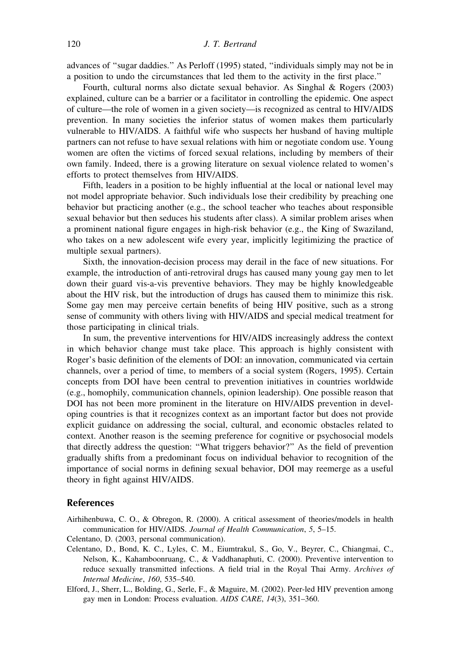advances of ''sugar daddies.'' As Perloff (1995) stated, ''individuals simply may not be in a position to undo the circumstances that led them to the activity in the first place.''

Fourth, cultural norms also dictate sexual behavior. As Singhal & Rogers (2003) explained, culture can be a barrier or a facilitator in controlling the epidemic. One aspect of culture—the role of women in a given society—is recognized as central to HIV/AIDS prevention. In many societies the inferior status of women makes them particularly vulnerable to HIV/AIDS. A faithful wife who suspects her husband of having multiple partners can not refuse to have sexual relations with him or negotiate condom use. Young women are often the victims of forced sexual relations, including by members of their own family. Indeed, there is a growing literature on sexual violence related to women's efforts to protect themselves from HIV/AIDS.

Fifth, leaders in a position to be highly influential at the local or national level may not model appropriate behavior. Such individuals lose their credibility by preaching one behavior but practicing another (e.g., the school teacher who teaches about responsible sexual behavior but then seduces his students after class). A similar problem arises when a prominent national figure engages in high-risk behavior (e.g., the King of Swaziland, who takes on a new adolescent wife every year, implicitly legitimizing the practice of multiple sexual partners).

Sixth, the innovation-decision process may derail in the face of new situations. For example, the introduction of anti-retroviral drugs has caused many young gay men to let down their guard vis-a-vis preventive behaviors. They may be highly knowledgeable about the HIV risk, but the introduction of drugs has caused them to minimize this risk. Some gay men may perceive certain benefits of being HIV positive, such as a strong sense of community with others living with HIV/AIDS and special medical treatment for those participating in clinical trials.

In sum, the preventive interventions for HIV/AIDS increasingly address the context in which behavior change must take place. This approach is highly consistent with Roger's basic definition of the elements of DOI: an innovation, communicated via certain channels, over a period of time, to members of a social system (Rogers, 1995). Certain concepts from DOI have been central to prevention initiatives in countries worldwide (e.g., homophily, communication channels, opinion leadership). One possible reason that DOI has not been more prominent in the literature on HIV/AIDS prevention in developing countries is that it recognizes context as an important factor but does not provide explicit guidance on addressing the social, cultural, and economic obstacles related to context. Another reason is the seeming preference for cognitive or psychosocial models that directly address the question: ''What triggers behavior?'' As the field of prevention gradually shifts from a predominant focus on individual behavior to recognition of the importance of social norms in defining sexual behavior, DOI may reemerge as a useful theory in fight against HIV/AIDS.

#### References

- Airhihenbuwa, C. O., & Obregon, R. (2000). A critical assessment of theories/models in health communication for HIV/AIDS. Journal of Health Communication, 5, 5–15.
- Celentano, D. (2003, personal communication).
- Celentano, D., Bond, K. C., Lyles, C. M., Eiumtrakul, S., Go, V., Beyrer, C., Chiangmai, C., Nelson, K., Kahamboonruang, C., & Vaddhanaphuti, C. (2000). Preventive intervention to reduce sexually transmitted infections. A field trial in the Royal Thai Army. Archives of Internal Medicine, 160, 535–540.
- Elford, J., Sherr, L., Bolding, G., Serle, F., & Maguire, M. (2002). Peer-led HIV prevention among gay men in London: Process evaluation. AIDS CARE, 14(3), 351–360.